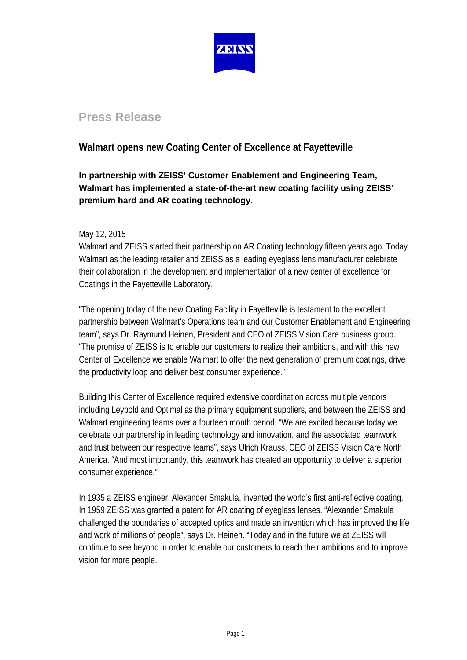

# **Press Release**

## **Walmart opens new Coating Center of Excellence at Fayetteville**

## **In partnership with ZEISS' Customer Enablement and Engineering Team, Walmart has implemented a state-of-the-art new coating facility using ZEISS' premium hard and AR coating technology.**

### May 12, 2015

Walmart and ZEISS started their partnership on AR Coating technology fifteen years ago. Today Walmart as the leading retailer and ZEISS as a leading eyeglass lens manufacturer celebrate their collaboration in the development and implementation of a new center of excellence for Coatings in the Fayetteville Laboratory.

"The opening today of the new Coating Facility in Fayetteville is testament to the excellent partnership between Walmart's Operations team and our Customer Enablement and Engineering team", says Dr. Raymund Heinen, President and CEO of ZEISS Vision Care business group. "The promise of ZEISS is to enable our customers to realize their ambitions, and with this new Center of Excellence we enable Walmart to offer the next generation of premium coatings, drive the productivity loop and deliver best consumer experience."

Building this Center of Excellence required extensive coordination across multiple vendors including Leybold and Optimal as the primary equipment suppliers, and between the ZEISS and Walmart engineering teams over a fourteen month period. "We are excited because today we celebrate our partnership in leading technology and innovation, and the associated teamwork and trust between our respective teams", says Ulrich Krauss, CEO of ZEISS Vision Care North America. "And most importantly, this teamwork has created an opportunity to deliver a superior consumer experience."

In 1935 a ZEISS engineer, Alexander Smakula, invented the world's first anti-reflective coating. In 1959 ZEISS was granted a patent for AR coating of eyeglass lenses. "Alexander Smakula challenged the boundaries of accepted optics and made an invention which has improved the life and work of millions of people", says Dr. Heinen. "Today and in the future we at ZEISS will continue to see beyond in order to enable our customers to reach their ambitions and to improve vision for more people.